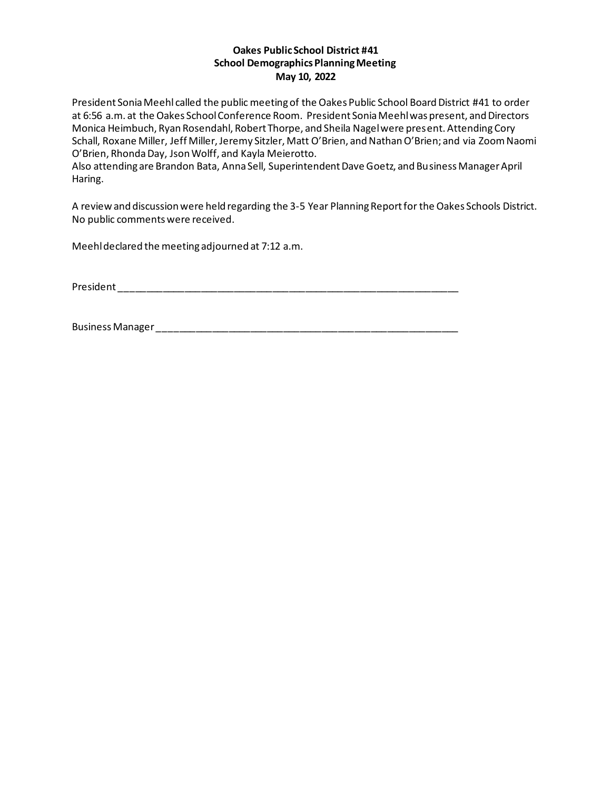## **Oakes Public School District #41 School Demographics Planning Meeting May 10, 2022**

President Sonia Meehl called the public meeting of the Oakes Public School Board District #41 to order at 6:56 a.m. at the Oakes School Conference Room. President Sonia Meehl was present, and Directors Monica Heimbuch, Ryan Rosendahl, Robert Thorpe, and Sheila Nagel were present. Attending Cory Schall, Roxane Miller, Jeff Miller, Jeremy Sitzler, Matt O'Brien, and Nathan O'Brien; and via Zoom Naomi O'Brien, Rhonda Day, Json Wolff, and Kayla Meierotto.

Also attending are Brandon Bata, Anna Sell, Superintendent Dave Goetz, and Business Manager April Haring.

A review and discussion were held regarding the 3-5 Year Planning Report for the Oakes Schools District. No public comments were received.

Meehl declared the meeting adjourned at 7:12 a.m.

President and the set of the set of the set of the set of the set of the set of the set of the set of the set of the set of the set of the set of the set of the set of the set of the set of the set of the set of the set of

Business Manager \_\_\_\_\_\_\_\_\_\_\_\_\_\_\_\_\_\_\_\_\_\_\_\_\_\_\_\_\_\_\_\_\_\_\_\_\_\_\_\_\_\_\_\_\_\_\_\_\_\_\_\_\_\_\_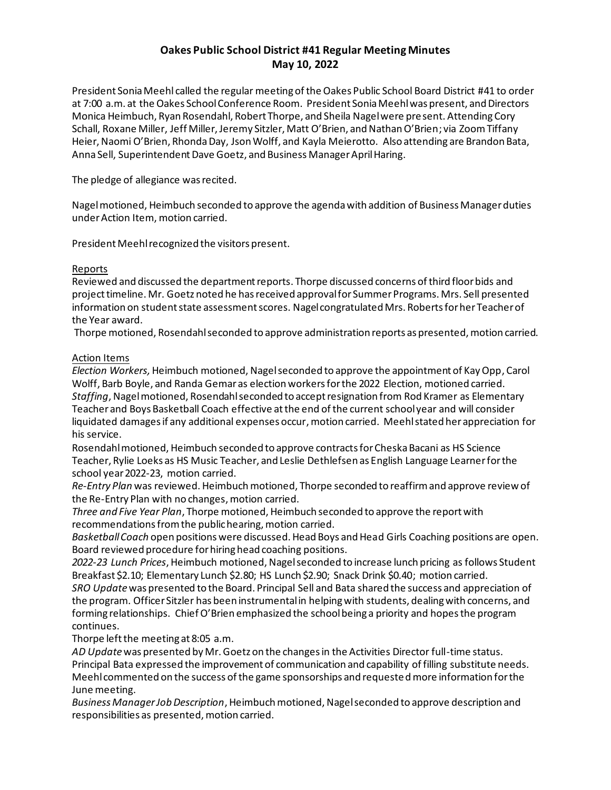# **Oakes Public School District #41 Regular Meeting Minutes May 10, 2022**

President Sonia Meehl called the regular meeting of the Oakes Public School Board District #41 to order at 7:00 a.m. at the Oakes School Conference Room. President Sonia Meehl was present, and Directors Monica Heimbuch, Ryan Rosendahl, Robert Thorpe, and Sheila Nagel were present. Attending Cory Schall, Roxane Miller, Jeff Miller, Jeremy Sitzler, Matt O'Brien, and Nathan O'Brien; via ZoomTiffany Heier, Naomi O'Brien, Rhonda Day, Json Wolff, and Kayla Meierotto. Also attending are Brandon Bata, Anna Sell, Superintendent Dave Goetz, and Business Manager April Haring.

The pledge of allegiance was recited.

Nagelmotioned, Heimbuch seconded to approve the agendawith addition of Business Manager duties under Action Item, motion carried.

President Meehl recognized the visitors present.

## Reports

Reviewed and discussed the department reports. Thorpe discussed concerns of third floor bids and project timeline. Mr. Goetz noted he has received approval for Summer Programs. Mrs. Sell presented information on student state assessment scores. Nagel congratulated Mrs. Roberts for her Teacher of the Year award.

Thorpe motioned, Rosendahlseconded to approve administration reports as presented, motion carried.

## Action Items

*Election Workers,*Heimbuch motioned, Nagel seconded to approve the appointment of Kay Opp, Carol Wolff, Barb Boyle, and Randa Gemar as election workers for the 2022 Election, motioned carried. *Staffing*, Nagelmotioned, Rosendahlseconded to accept resignation from Rod Kramer as Elementary Teacher and Boys Basketball Coach effective at the end of the current school year and will consider liquidated damages if any additional expenses occur, motion carried. Meehl stated her appreciation for his service.

Rosendahl motioned, Heimbuch seconded to approve contractsfor Cheska Bacani as HS Science Teacher, Rylie Loeks as HS Music Teacher, and Leslie Dethlefsen as English Language Learnerfor the school year 2022-23, motion carried.

*Re-Entry Plan* was reviewed. Heimbuch motioned, Thorpe seconded to reaffirm and approve review of the Re-Entry Plan with no changes, motion carried.

*Three and Five Year Plan*, Thorpe motioned, Heimbuch seconded to approve the report with recommendations from the public hearing, motion carried.

*Basketball Coach* open positions were discussed. Head Boys and Head Girls Coaching positions are open. Board reviewed procedure for hiring head coaching positions.

*2022-23 Lunch Prices*, Heimbuch motioned, Nagelseconded to increase lunch pricing as follows Student Breakfast \$2.10; Elementary Lunch \$2.80; HS Lunch \$2.90; Snack Drink \$0.40; motion carried.

*SRO Update*was presented to the Board. Principal Sell and Bata shared the success and appreciation of the program. Officer Sitzler has been instrumental in helping with students, dealing with concerns, and forming relationships. Chief O'Brien emphasized the school being a priority and hopes the program continues.

Thorpe left the meeting at 8:05 a.m.

*AD Update*was presented by Mr. Goetz on the changes in the Activities Director full-time status. Principal Bata expressed the improvement of communication and capability of filling substitute needs. Meehl commented on the success of the game sponsorships and requested more information for the June meeting.

*Business Manager Job Description*, Heimbuch motioned,Nagelseconded to approve description and responsibilities as presented, motion carried.